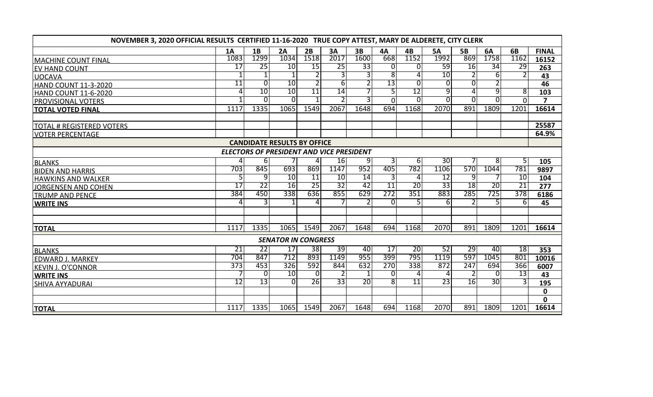| NOVEMBER 3, 2020 OFFICIAL RESULTS CERTIFIED 11-16-2020 TRUE COPY ATTEST, MARY DE ALDERETE, CITY CLERK |                 |                 |                            |                 |      |                 |                 |                 |                 |                |                |                 |                |
|-------------------------------------------------------------------------------------------------------|-----------------|-----------------|----------------------------|-----------------|------|-----------------|-----------------|-----------------|-----------------|----------------|----------------|-----------------|----------------|
|                                                                                                       | 1A              | 1B              | 2A                         | 2B              | 3A   | 3B              | <b>4A</b>       | 4B              | <b>5A</b>       | <b>5B</b>      | 6A             | 6B              | <b>FINAL</b>   |
| <b>MACHINE COUNT FINAL</b>                                                                            | 1083            | 1299            | 1034                       | 1518            | 2017 | 1600            | 668             | 1152            | 1992            | 869            | 1758           | 1162            | 16152          |
| <b>EV HAND COUNT</b>                                                                                  | $\overline{17}$ | 25              | 10                         | 15              | 25   | 33              | $\Omega$        | $\overline{0}$  | 59              | <b>16</b>      | 34             | 29              | 263            |
| <b>UOCAVA</b>                                                                                         |                 |                 |                            |                 |      |                 | $\overline{8}$  | 4               | 10              | $\overline{2}$ | 6              |                 | 43             |
| <b>HAND COUNT 11-3-2020</b>                                                                           | $\overline{11}$ |                 | 10                         |                 | 6    |                 | 13              | Ō               | $\overline{0}$  | $\overline{0}$ |                |                 | 46             |
| <b>HAND COUNT 11-6-2020</b>                                                                           |                 | 10              | 10                         | $\overline{11}$ | 14   |                 |                 | 12              | 9               | $\overline{a}$ | 9              | 8               | 103            |
| <b>PROVISIONAL VOTERS</b>                                                                             |                 | U               | $\overline{0}$             |                 |      |                 | $\Omega$        | Э               | $\overline{0}$  | $\Omega$       | $\overline{0}$ | $\Omega$        | $\overline{ }$ |
| <b>TOTAL VOTED FINAL</b>                                                                              | 1117            | 1335            | 1065                       | 1549            | 2067 | 1648            | 694             | 1168            | 2070            | 891            | 1809           | 1201            | 16614          |
|                                                                                                       |                 |                 |                            |                 |      |                 |                 |                 |                 |                |                |                 | 25587          |
| <b>TOTAL # REGISTERED VOTERS</b>                                                                      |                 |                 |                            |                 |      |                 |                 |                 |                 |                |                |                 | 64.9%          |
| <b>VOTER PERCENTAGE</b>                                                                               |                 |                 |                            |                 |      |                 |                 |                 |                 |                |                |                 |                |
| <b>CANDIDATE RESULTS BY OFFICE</b><br>ELECTORS OF PRESIDENT AND VICE PRESIDENT                        |                 |                 |                            |                 |      |                 |                 |                 |                 |                |                |                 |                |
|                                                                                                       |                 | 61              |                            | 4               | 16   | 9               |                 | $6 \mid$        | 30 <sup>°</sup> |                | 8              | 5               |                |
| <b>BLANKS</b>                                                                                         | 703             | 845             | 693                        | 869             | 1147 | 952             | 405             | 782             | 1106            | 570            | 1044           | 781             | 105<br>9897    |
| <b>BIDEN AND HARRIS</b>                                                                               | 5               | 9               | 10                         | <b>11</b>       | 10   | 14              | 3               | 4               | 12              | 9              |                | 10              | 104            |
| <b>HAWKINS AND WALKER</b>                                                                             | 17              | $\overline{22}$ | 16                         | $\overline{25}$ | 32   | 42              | $\overline{11}$ | 20              | 33              | 18             | 20             | $\overline{21}$ | 277            |
| <b>JORGENSEN AND COHEN</b>                                                                            | 384             | 450             | 338                        | 636             | 855  | 629             | 272             | 351             | 883             | 285            | 725            | 378             | 6186           |
| <b>TRUMP AND PENCE</b>                                                                                |                 |                 |                            | 4               |      |                 | <sup>n</sup>    | 51              | 6               |                | 5.             | 6               | 45             |
| <b>WRITE INS</b>                                                                                      |                 |                 |                            |                 |      |                 |                 |                 |                 |                |                |                 |                |
|                                                                                                       |                 |                 |                            |                 |      |                 |                 |                 |                 |                |                |                 |                |
| <b>TOTAL</b>                                                                                          | 1117            | 1335            | 1065                       | 1549            | 2067 | 1648            | 694             | 1168            | 2070            | 891            | 1809           | 1201            | 16614          |
|                                                                                                       |                 |                 | <b>SENATOR IN CONGRESS</b> |                 |      |                 |                 |                 |                 |                |                |                 |                |
| <b>BLANKS</b>                                                                                         | 21              | 22              | 17                         | 38              | 39   | 40              | 17              | 20              | 52              | 29             | 40             | 18              | 353            |
| <b>EDWARD J. MARKEY</b>                                                                               | 704             | 847             | 712                        | 893             | 1149 | 955             | 399             | 795             | 1119            | 597            | 1045           | 801             | 10016          |
| <b>KEVIN J. O'CONNOR</b>                                                                              | 373             | 453             | 326                        | 592             | 844  | 632             | 270             | 338             | 872             | 247            | 694            | 366             | 6007           |
| <b>WRITE INS</b>                                                                                      |                 | <sup>0</sup>    | 10                         | 0               |      |                 | <sup>0</sup>    | 4               | 4               | 2              | 0              | 13              | 43             |
| <b>SHIVA AYYADURAI</b>                                                                                | $\overline{12}$ | 13              | $\overline{0}$             | 26              | 33   | $\overline{20}$ | 8               | $\overline{11}$ | $\overline{23}$ | 16             | 30             | 3               | 195            |
|                                                                                                       |                 |                 |                            |                 |      |                 |                 |                 |                 |                |                |                 | $\mathbf 0$    |
|                                                                                                       |                 |                 |                            |                 |      |                 |                 |                 |                 |                |                |                 | 0              |
| <b>TOTAL</b>                                                                                          | 1117            | 1335            | 1065                       | 1549            | 2067 | 1648            | 694             | 1168            | 2070            | 891            | 1809           | 1201            | 16614          |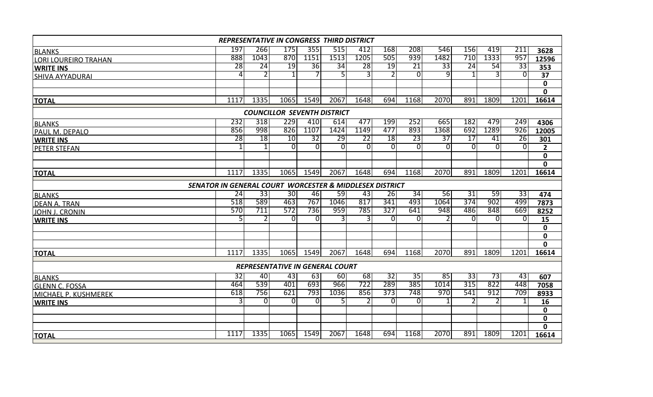| <b>REPRESENTATIVE IN CONGRESS THIRD DISTRICT</b> |                                                         |          |                 |                |          |      |              |                 |                 |                 |                |                 |                |
|--------------------------------------------------|---------------------------------------------------------|----------|-----------------|----------------|----------|------|--------------|-----------------|-----------------|-----------------|----------------|-----------------|----------------|
| <b>BLANKS</b>                                    | 197                                                     | 266      | 175             | 355            | 515      | 412  | 168          | 208             | 546             | 156             | 419            | 211             | 3628           |
| <b>LORI LOUREIRO TRAHAN</b>                      | 888                                                     | 1043     | 870             | 1151           | 1513     | 1205 | 505          | 939             | 1482            | 710             | 1333           | 957             | 12596          |
| <b>WRITE INS</b>                                 | 28                                                      | 24       | 19              | 36             | 34       | 28   | 19           | $\overline{21}$ | $\overline{33}$ | $\overline{24}$ | 54             | $\overline{33}$ | 353            |
| <b>SHIVA AYYADURAI</b>                           | 4                                                       |          | 1 <sup>1</sup>  |                |          | 3    |              | $\Omega$        | 9               | 1               | 3              | $\Omega$        | 37             |
|                                                  |                                                         |          |                 |                |          |      |              |                 |                 |                 |                |                 | $\mathbf 0$    |
|                                                  |                                                         |          |                 |                |          |      |              |                 |                 |                 |                |                 | $\mathbf{0}$   |
| <b>TOTAL</b>                                     | 1117                                                    | 1335     | 1065            | 1549           | 2067     | 1648 | 694          | 1168            | 2070            | 891             | 1809           | 1201            | 16614          |
| <b>COUNCILLOR SEVENTH DISTRICT</b>               |                                                         |          |                 |                |          |      |              |                 |                 |                 |                |                 |                |
| <b>BLANKS</b>                                    | 232                                                     | 318      | 229             | 410            | 614      | 477  | 199          | 252             | 665             | 182             | 479            | 249             | 4306           |
| PAUL M. DEPALO                                   | 856                                                     | 998      | 826             | 1107           | 1424     | 1149 | 477          | 893             | 1368            | 692             | 1289           | 926             | 12005          |
| <b>WRITE INS</b>                                 | $\overline{28}$                                         | 18       | 10              | 32             | 29       | 22   | 18           | 23              | $\overline{37}$ | $\overline{17}$ | 41             | 26              | 301            |
| <b>PETER STEFAN</b>                              |                                                         |          | $\overline{0}$  | $\overline{0}$ | $\Omega$ | 0    | <sup>0</sup> | $\overline{0}$  | $\overline{0}$  | $\overline{0}$  | $\overline{0}$ | $\Omega$        | $\overline{2}$ |
|                                                  |                                                         |          |                 |                |          |      |              |                 |                 |                 |                |                 | $\mathbf 0$    |
|                                                  |                                                         |          |                 |                |          |      |              |                 |                 |                 |                |                 | $\mathbf{0}$   |
| <b>TOTAL</b>                                     | 1117                                                    | 1335     | 1065            | 1549           | 2067     | 1648 | 694          | 1168            | 2070            | 891             | 1809           | 1201            | 16614          |
|                                                  | SENATOR IN GENERAL COURT WORCESTER & MIDDLESEX DISTRICT |          |                 |                |          |      |              |                 |                 |                 |                |                 |                |
| <b>BLANKS</b>                                    | 24                                                      | 33       | 30 <sub>1</sub> | 46             | 59       | 43   | 26           | 34              | 56              | 31              | 59             | 33              | 474            |
| <b>DEAN A. TRAN</b>                              | 518                                                     | 589      | 463             | 767            | 1046     | 817  | 341          | 493             | 1064            | 374             | 902            | 499             | 7873           |
| <b>JOHN J. CRONIN</b>                            | 570                                                     | 711      | 572             | 736            | 959      | 785  | 327          | 641             | 948             | 486             | 848            | 669             | 8252           |
| <b>WRITE INS</b>                                 | 5.                                                      |          | ΩI              | $\Omega$       | 3        | 3    | $\Omega$     | $\Omega$        |                 | $\Omega$        | 0              | $\Omega$        | 15             |
|                                                  |                                                         |          |                 |                |          |      |              |                 |                 |                 |                |                 | $\mathbf 0$    |
|                                                  |                                                         |          |                 |                |          |      |              |                 |                 |                 |                |                 | $\mathbf 0$    |
|                                                  |                                                         |          |                 |                |          |      |              |                 |                 |                 |                |                 | 0              |
| <b>TOTAL</b>                                     | 1117                                                    | 1335     | 1065            | 1549           | 2067     | 1648 | 694          | 1168            | 2070            | 891             | 1809           | 1201            | 16614          |
| REPRESENTATIVE IN GENERAL COURT                  |                                                         |          |                 |                |          |      |              |                 |                 |                 |                |                 |                |
| <b>BLANKS</b>                                    | 32                                                      | 40       | 43              | 63             | 60       | 68   | 32           | 35              | 85              | 33              | 73             | 43              | 607            |
| <b>GLENN C. FOSSA</b>                            | 464                                                     | 539      | 401             | 693            | 966      | 722  | 289          | 385             | 1014            | 315             | 822            | 448             | 7058           |
| MICHAEL P. KUSHMEREK                             | 618                                                     | 756      | 621             | 793            | 1036     | 856  | 373          | 748             | 970             | 541             | 912            | 709             | 8933           |
| <b>WRITE INS</b>                                 | 3                                                       | $\Omega$ | $\Omega$        | $\overline{0}$ |          |      | $\Omega$     | $\Omega$        |                 |                 |                |                 | 16             |
|                                                  |                                                         |          |                 |                |          |      |              |                 |                 |                 |                |                 | $\mathbf 0$    |
|                                                  |                                                         |          |                 |                |          |      |              |                 |                 |                 |                |                 | $\mathbf 0$    |
|                                                  |                                                         |          |                 |                |          |      |              |                 |                 |                 |                |                 | $\mathbf{0}$   |
| <b>TOTAL</b>                                     | 1117                                                    | 1335     | 1065            | 1549           | 2067     | 1648 | 694          | 1168            | 2070            | 891             | 1809           | 1201            | 16614          |